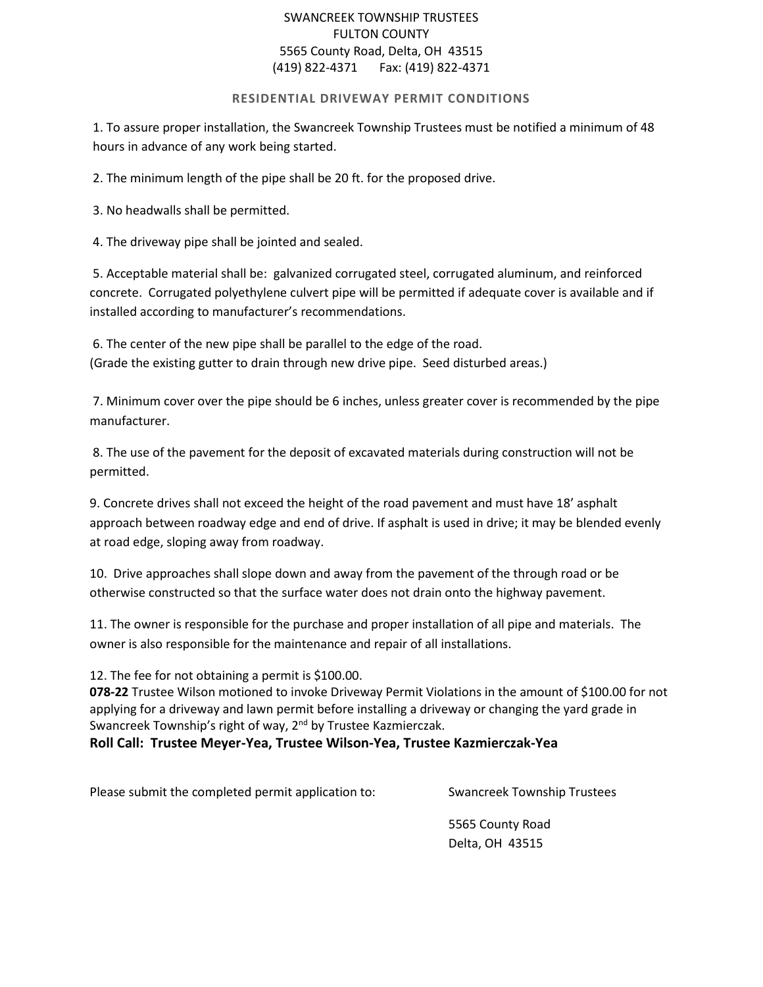## SWANCREEK TOWNSHIP TRUSTEES FULTON COUNTY 5565 County Road, Delta, OH 43515 (419) 822-4371 Fax: (419) 822-4371

## **RESIDENTIAL DRIVEWAY PERMIT CONDITIONS**

1. To assure proper installation, the Swancreek Township Trustees must be notified a minimum of 48 hours in advance of any work being started.

2. The minimum length of the pipe shall be 20 ft. for the proposed drive.

3. No headwalls shall be permitted.

4. The driveway pipe shall be jointed and sealed.

5. Acceptable material shall be: galvanized corrugated steel, corrugated aluminum, and reinforced concrete. Corrugated polyethylene culvert pipe will be permitted if adequate cover is available and if installed according to manufacturer's recommendations.

6. The center of the new pipe shall be parallel to the edge of the road. (Grade the existing gutter to drain through new drive pipe. Seed disturbed areas.)

7. Minimum cover over the pipe should be 6 inches, unless greater cover is recommended by the pipe manufacturer.

8. The use of the pavement for the deposit of excavated materials during construction will not be permitted.

9. Concrete drives shall not exceed the height of the road pavement and must have 18' asphalt approach between roadway edge and end of drive. If asphalt is used in drive; it may be blended evenly at road edge, sloping away from roadway.

10. Drive approaches shall slope down and away from the pavement of the through road or be otherwise constructed so that the surface water does not drain onto the highway pavement.

11. The owner is responsible for the purchase and proper installation of all pipe and materials. The owner is also responsible for the maintenance and repair of all installations.

12. The fee for not obtaining a permit is \$100.00.

**078-22** Trustee Wilson motioned to invoke Driveway Permit Violations in the amount of \$100.00 for not applying for a driveway and lawn permit before installing a driveway or changing the yard grade in Swancreek Township's right of way, 2<sup>nd</sup> by Trustee Kazmierczak.

**Roll Call: Trustee Meyer-Yea, Trustee Wilson-Yea, Trustee Kazmierczak-Yea**

Please submit the completed permit application to: Swancreek Township Trustees

5565 County Road Delta, OH 43515